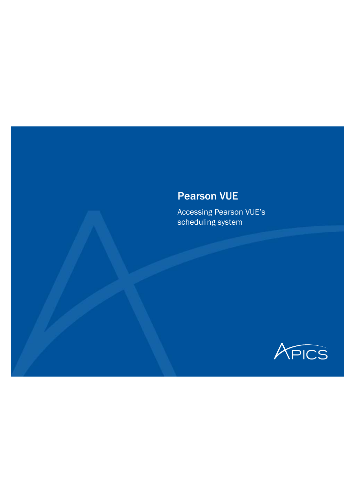#### Pearson VUE

Accessing Pearson VUE's scheduling system

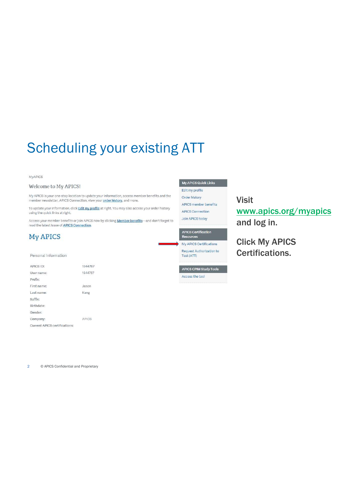#### MyAPICS

#### Welcome to My APICS!

My APICS is your one-stop location to update your information, access member benefits and the member newsletter, APICS Connection, view your order history, and more.

To update your information, click Edit my profile at right. You may also access your order history using the quick links at right.

Access your member benefits or join APICS now by clicking **Member benefits**—and don't forget to<br>read the latest issue of APICS Connection.

#### **My APICS**

#### Personal Information

| APICS ID:                            | 1944787      |
|--------------------------------------|--------------|
| User name:                           | 1944787      |
| Prefix:                              |              |
| First name:                          | Jason        |
| Last name:                           | Kang         |
| Suffix:                              |              |
| Birthdate:                           |              |
| Gender:                              |              |
| Company:                             | <b>APICS</b> |
| <b>Current APICS certifications:</b> |              |

My APICS Quick Links Edit my profile Order history

APICS member benefits APICS Connection Join APICS today

#### APICS Certification<br>Resources

My APICS Certifications Request Authorization to Test (ATT)

**APICS CPIM Study Tools** 

Access the tool

Visit www.apics.org/myapics and log in.

Click My APICS Certifications.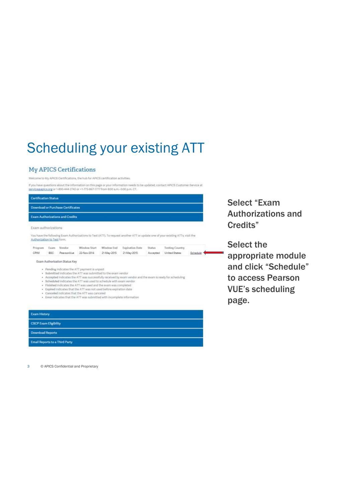#### **My APICS Certifications**

Welcome to My APICS Certifications, the hub for APICS certification activities.

If you have questions about the information on this page or your information needs to be updated, contact APICS Customer Service at<br>services/apics.org or 1-800-444-2742 or +1-773-867-1777 from 8:00 a.m.-5:00 p.m. CT.

|                             |      | <b>Download or Purchase Certificates</b> |                                                                                                                                                                                                                                                                                                                                                                                                        |             |                                                                                                          |               |                                                                                                                                 |          |
|-----------------------------|------|------------------------------------------|--------------------------------------------------------------------------------------------------------------------------------------------------------------------------------------------------------------------------------------------------------------------------------------------------------------------------------------------------------------------------------------------------------|-------------|----------------------------------------------------------------------------------------------------------|---------------|---------------------------------------------------------------------------------------------------------------------------------|----------|
|                             |      | <b>Exam Authorizations and Credits</b>   |                                                                                                                                                                                                                                                                                                                                                                                                        |             |                                                                                                          |               |                                                                                                                                 |          |
| Exam authorizations:        |      |                                          |                                                                                                                                                                                                                                                                                                                                                                                                        |             |                                                                                                          |               |                                                                                                                                 |          |
| Authorization to Test form. |      |                                          |                                                                                                                                                                                                                                                                                                                                                                                                        |             |                                                                                                          |               | You have the following Exam Authorizations to Test (ATI). To request another ATT or update one of your existing ATTs, visit the |          |
| Program                     | Exam | Vendor                                   | Window Start                                                                                                                                                                                                                                                                                                                                                                                           | Window Fod  | Expiration Date                                                                                          | <b>Status</b> | <b>Testing Country</b>                                                                                                          |          |
| CPIM                        | BSC  | PearsonVue                               | 22-Nov-2014                                                                                                                                                                                                                                                                                                                                                                                            | 21-May-2015 | 21-May-2015                                                                                              | Accepted      | United States                                                                                                                   | Schedule |
| ٠<br>٠<br>٠<br>٠            |      |                                          | Submitted indicates the ATT was submitted to the exam vendor<br>Scheduled indicates the ATT was used to schedule with exam vendor.<br>Finished indicates the ATT was used and the exam was completed<br>Expired indicates that the ATT was not used before expiration date<br>Canceled indicates that the ATT was canceled<br>. Error indicates that the ATT was submitted with incomplete information |             | Accepted indicates the ATT was successfully received by exam vendor and the exam is ready for scheduling |               |                                                                                                                                 |          |
|                             |      |                                          |                                                                                                                                                                                                                                                                                                                                                                                                        |             |                                                                                                          |               |                                                                                                                                 |          |
| <b>Exam History</b>         |      |                                          |                                                                                                                                                                                                                                                                                                                                                                                                        |             |                                                                                                          |               |                                                                                                                                 |          |

Select "Exam Authorizations and Credits"

Select the appropriate module and click "Schedule" to access Pearson VUE's scheduling page.

3 © APICS Confidential and Proprietary

**Email Reports to a Third Party**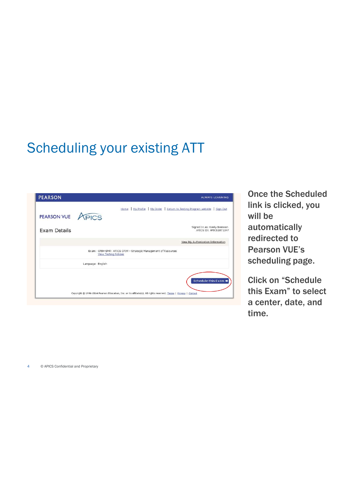|                   |                   | Home   My Profile   My Order   Return to Testing Program website   Sign Out                                       |
|-------------------|-------------------|-------------------------------------------------------------------------------------------------------------------|
| PEARSON VUE APICS |                   |                                                                                                                   |
|                   |                   |                                                                                                                   |
| Exam Details      |                   | Signed In as: Keely Brennan<br>APICS ID: APICS1871347                                                             |
|                   |                   | View My Authorization Information                                                                                 |
|                   |                   | Exam: CPIM-SMR: APICS CPIM - Strategic Management of Resources<br><b>View Testing Policies</b>                    |
|                   | Language: English |                                                                                                                   |
|                   |                   | Schedule this Exam →                                                                                              |
|                   |                   | Copyright @ 1996-2014 Pearson Education, Inc. or its affiliate(s). All rights reserved. Terms   Privacy   Contact |

Once the Scheduled link is clicked, you will be automatically redirected to Pearson VUE's scheduling page.

Click on "Schedule this Exam" to select a center, date, and time.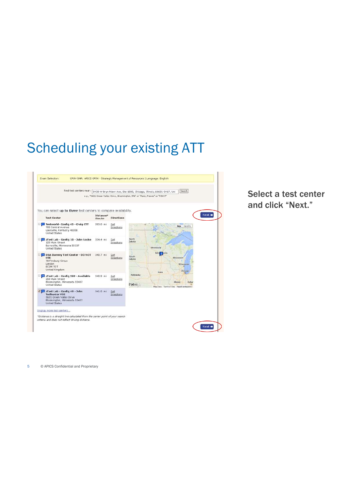

Select a test center and click "Next."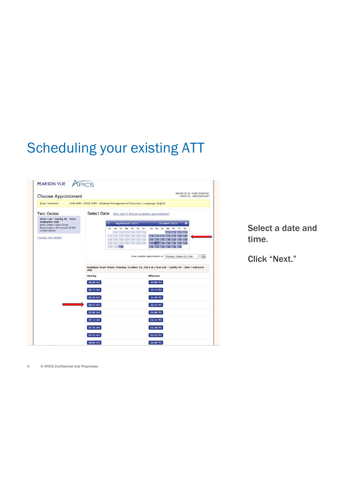| Choose Appointment                                                                                                               | Signed In as: Keely Brennan<br>APICS ID: APICS1871347                                                                                                                                                              |
|----------------------------------------------------------------------------------------------------------------------------------|--------------------------------------------------------------------------------------------------------------------------------------------------------------------------------------------------------------------|
| Exam Selection:                                                                                                                  | CPIM-SMR: APICS CPIM - Strategic Management of Resources   Language: English                                                                                                                                       |
| <b>Test Center</b>                                                                                                               | Select Date Why can't I find an available appointment?                                                                                                                                                             |
| zTest Lab - Config 49 - John<br><b>Todhunter VSS</b><br>5601 Green Valley Drive<br>Bloomington, Minnesota 55437<br>United States | October 2014<br>$\bullet$<br>September 2014<br>Tu We Th Fr<br>Sa<br>Su Mo<br>Tu.<br>We<br>Sa<br>Mo<br>Th<br>Fr.<br><b>Su</b><br>n,                                                                                 |
| Change Test Centers                                                                                                              | 11<br>10<br>m<br><b>TES</b><br>$+1$<br>m<br>34<br>35<br>17<br>12<br>16<br>10<br>20<br>钳<br>22<br>24<br>$-24$<br>19<br>23<br>25<br>m<br>- - - 20<br>$\overline{\infty}$<br>27<br>20<br>29.<br>50 <sub>2</sub><br>21 |
|                                                                                                                                  | $\bullet$ 00<br>Show available appointments on<br>Monday, October 20, 2014                                                                                                                                         |
|                                                                                                                                  | Available Start Times: Monday, October 20, 2014 at zTest Lab - Config 49 - John Todhunter<br><b>VSS</b>                                                                                                            |
|                                                                                                                                  | Moming<br>Aftemoon                                                                                                                                                                                                 |
|                                                                                                                                  | 06:00 AM<br>12:00 PM                                                                                                                                                                                               |
|                                                                                                                                  | <b>OG:15 AM</b><br>12:15 PM                                                                                                                                                                                        |
|                                                                                                                                  | 06:30 AM<br>12:30 PM                                                                                                                                                                                               |
|                                                                                                                                  | 06:45 AM<br>12:45 PM                                                                                                                                                                                               |
|                                                                                                                                  | 07:00 AM<br>01:00 PM                                                                                                                                                                                               |
|                                                                                                                                  |                                                                                                                                                                                                                    |
|                                                                                                                                  | 07:15 AM<br>01:15 PM                                                                                                                                                                                               |
|                                                                                                                                  | 07:30 AM<br>01:30 PM                                                                                                                                                                                               |
|                                                                                                                                  | 07:45 AM<br>01:45 PM                                                                                                                                                                                               |

Select a date and time.

Click "Next."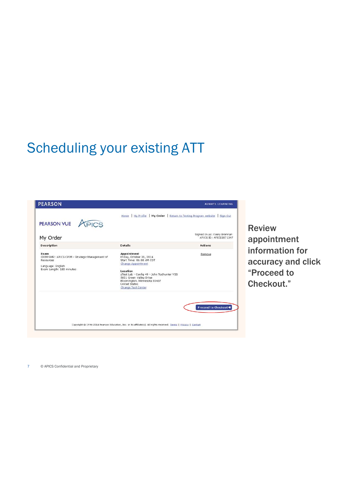| My Order                                                                                                             |                                                                                                                                                                                                                                                                     | Signed In as: Keely Brennan<br>APICS ID: APICS1871347 |
|----------------------------------------------------------------------------------------------------------------------|---------------------------------------------------------------------------------------------------------------------------------------------------------------------------------------------------------------------------------------------------------------------|-------------------------------------------------------|
| Description                                                                                                          | <b>Details</b>                                                                                                                                                                                                                                                      | <b>Actions</b>                                        |
| Exam<br>CPIM-SMR: APICS CPIM - Strategic Management of<br>Resources<br>Language: English<br>Exam Length: 180 minutes | <b>Appointment</b><br>Friday, October 31, 2014<br>Start Time: 06:00 AM CDT<br>Change Appointment<br>Location<br>zTest Lab - Config 49 - John Todhunter VSS<br>5601 Green Valley Drive<br>Bloomington, Minnesota 55437<br><b>United States</b><br>Change Test Center | Remove                                                |
|                                                                                                                      |                                                                                                                                                                                                                                                                     |                                                       |

Review appointment information for accuracy and click "Proceed to Checkout."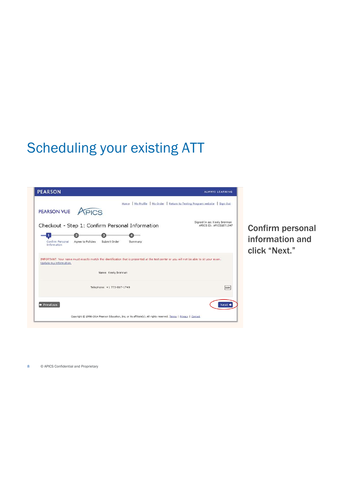| <b>PEARSON VUE</b>                                                                                                                                                  | APICS             |                            |                                                 | Home   My Profile   My Order   Return to Testing Program website<br>Sign Out |
|---------------------------------------------------------------------------------------------------------------------------------------------------------------------|-------------------|----------------------------|-------------------------------------------------|------------------------------------------------------------------------------|
|                                                                                                                                                                     |                   |                            | Checkout - Step 1: Confirm Personal Information | Signed In as: Keely Brennan<br>APICS ID: APICS1871347                        |
|                                                                                                                                                                     |                   |                            |                                                 |                                                                              |
| Confirm Personal<br>Information                                                                                                                                     | Agree to Policies | Submit Order               | Summ ary                                        |                                                                              |
|                                                                                                                                                                     |                   |                            |                                                 |                                                                              |
| IMPORTANT: Your name must exactly match the identification that is presented at the test center or you will not be able to sit your exam.<br>Update my information. |                   | Name: Keely Brennan        |                                                 |                                                                              |
|                                                                                                                                                                     |                   |                            |                                                 |                                                                              |
|                                                                                                                                                                     |                   | Telephone: +1 773-867-1749 |                                                 | Edit                                                                         |
| Previous                                                                                                                                                            |                   |                            |                                                 | Next =                                                                       |

Confirm personal information and click "Next."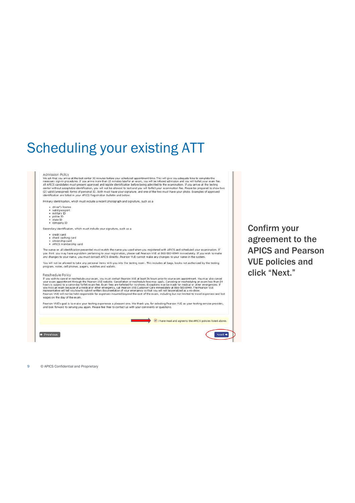#### Admission Policy

Admission Policy<br>was that you arrive at the test center 30 minutes before your scheduled appointment time. This will give you adequate time to complete the<br>We ask that you arrive at the test center 30 minutes late for an e w two

Primary identification, which must include a recent photograph and signature, such as a

- + driver's license<br>+ valid passport<br>+ military 10<br>+ state 10<br>+ company 10
- 
- 
- 

Secondary identification, which must indude your signature, such as a

• credit card<br>• check cashing card<br>• citizenship card<br>• APICS membership card

- 
- 

The name on all identification presented must match the name you used when you registered with APICS and scheduled your examination. If<br>you think you may have a problem pertaining to your registration, please call Pearson

You will not be allowed to take any personal items with you into the testing room. This includes all bags, books not authorized by the testing<br>program, notes, cell phones, pagers, watches and wallets.

#### Reschedule Policy

Reschiedule Policy<br>
If you wish to cancel or reschedule your exam, you must contact Pearson VUE at least 24 hours prior to your exam appointment. You may also cancel<br>
If you wish to cancel or reschedule your exam, you must wages on the day of the exam

Pearson VUE's goal is to make your testing experience a pleasant one. We thank you for selecting Pearson VUE as your testing service provider,<br>and look forward to serving you again. Please feel free to contact us with you



Confirm your agreement to the APICS and Pearson VUE policies and click "Next."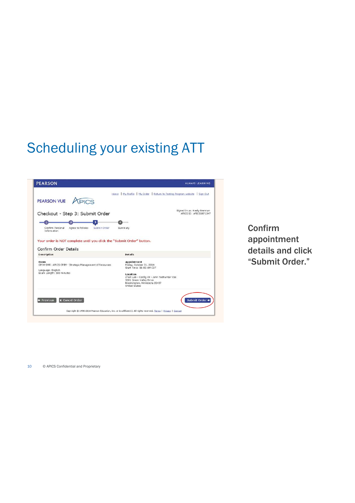

Confirm appointment details and click "Submit Order."